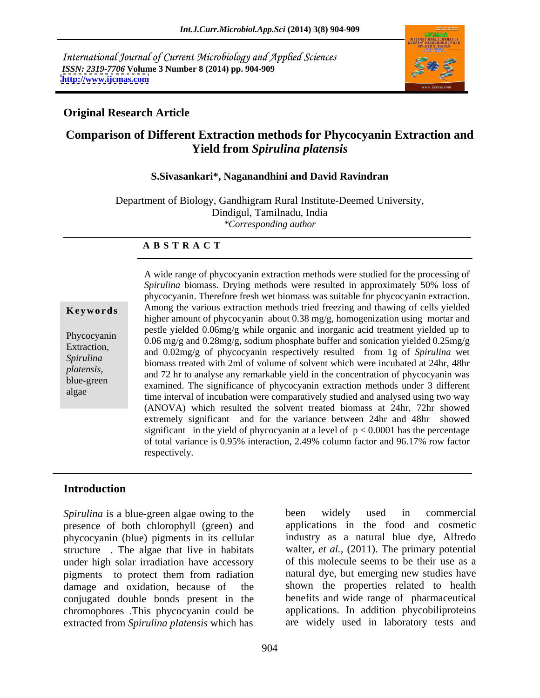International Journal of Current Microbiology and Applied Sciences *ISSN: 2319-7706* **Volume 3 Number 8 (2014) pp. 904-909 <http://www.ijcmas.com>**



# **Original Research Article**

# **Comparison of Different Extraction methods for Phycocyanin Extraction and Yield from** *Spirulina platensis*

### **S.Sivasankari\*, Naganandhini and David Ravindran**

Department of Biology, Gandhigram Rural Institute-Deemed University, Dindigul, Tamilnadu, India *\*Corresponding author* 

### **A B S T R A C T**

**Keywords** Among the various extraction methods tried freezing and thawing of cells yielded Phycocyanin pesare yielded 0.00mg/g will organic and morganic acid dealinein yielded 0.25mg/g<br>Extension 0.06 mg/g and 0.28mg/g, sodium phosphate buffer and sonication yielded 0.25mg/g Extraction, and 0.02mg/g of phycocyanin respectively resulted from 1g of *Spirulina* wet Spirulina biomass treated with 2ml of volume of solvent which were incubated at 24hr, 48hr platensis,<br>and 72 hr to analyse any remarkable yield in the concentration of phycocyanin was blue-green and 72 in to analyse any remarkable yield in the concentration of phycocyanin was<br>examined. The significance of phycocyanin extraction methods under 3 different algae time interval of incubation were comparatively studied and analysed using two way A wide range of phycocyanin extraction methods were studied for the processing of *Spirulina* biomass. Drying methods were resulted in approximately 50% loss of phycocyanin. Therefore fresh wet biomass was suitable for phycocyanin extraction. higher amount of phycocyanin about 0.38 mg/g, homogenization using mortar and pestle yielded 0.06mg/g while organic and inorganic acid treatment yielded up to (ANOVA) which resulted the solvent treated biomass at 24hr, 72hr showed extremely significant and for the variance between 24hr and 48hr showed significant in the yield of phycocyanin at a level of  $p < 0.0001$  has the percentage of total variance is 0.95% interaction, 2.49% column factor and 96.17% rowfactor respectively.

## **Introduction**

*Spirulina* is a blue-green algae owing to the been widely used in commercial presence of both chlorophyll (green) and phycocyanin (blue) pigments in its cellular structure . The algae that live in habitats under high solar irradiation have accessory pigments to protect them from radiation conjugated double bonds present in the chromophores .This phycocyanin could be extracted from *Spirulina platensis* which has

damage and oxidation, because of the shown the properties related to health been widely used in commercial applications in the food and cosmetic industry as a natural blue dye, Alfredo walter*, et al.,* (2011). The primary potential of this molecule seems to be their use as a natural dye, but emerging new studies have benefits and wide range of pharmaceutical applications. In addition phycobiliproteins are widely used in laboratory tests and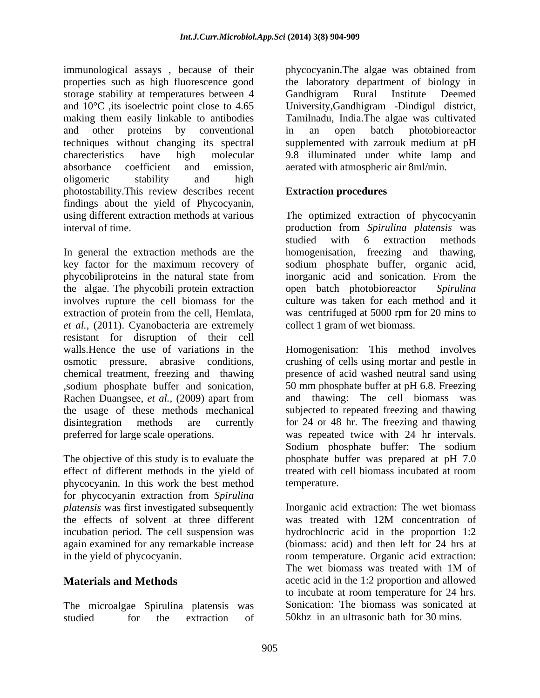immunological assays , because of their properties such as high fluorescence good the laboratory department of biology in storage stability at temperatures between 4 Candhigram Rural Institute Deemed and 10°C ,its isoelectric point close to 4.65 University,Gandhigram -Dindigul district, making them easily linkable to antibodies Tamilnadu, India.The algae was cultivated and other proteins by conventional techniques without changing its spectral supplemented with zarrouk medium at pH charecteristics have high molecular 9.8 illuminated under white lamp and absorbance coefficient and emission, aerated with atmospheric air 8ml/min. oligomeric stability and high photostability.This review describes recent findings about the yield of Phycocyanin, using different extraction methods at various The optimized extraction of phycocyanin

In general the extraction methods are the homogenisation, freezing and thawing, key factor for the maximum recovery of sodium phosphate buffer, organic acid, phycobiliproteins in the natural state from inorganic acid and sonication. From the the algae. The phycobili protein extraction open batch photobioreactor Spirulina involves rupture the cell biomass for the extraction of protein from the cell, Hemlata, was centrifuged at 5000 rpm for 20 mins to *et al.,* (2011). Cyanobacteria are extremely resistant for disruption of their cell walls.Hence the use of variations in the Homogenisation: This method involves osmotic pressure, abrasive conditions, crushing of cells using mortar and pestle in chemical treatment, freezing and thawing presence of acid washed neutral sand using ,sodium phosphate buffer and sonication, Rachen Duangsee, *et al.,* (2009) apart from the usage of these methods mechanical subjected to repeated freezing and thawing disintegration methods are currently for 24 or 48 hr. The freezing and thawing preferred for large scale operations. was repeated twice with 24 hr intervals.

The objective of this study is to evaluate the effect of different methods in the yield of treated with cell biomass incubated at room phycocyanin. In this work the best method for phycocyanin extraction from *Spirulina*  the effects of solvent at three different was treated with 12M concentration of again examined for any remarkable increase

studied for the extraction of 50khz in an ultrasonic bath for 30 mins.

phycocyanin.The algae was obtained from Gandhigram Rural Institute Deemed in an open batch photobioreactor

# **Extraction procedures**

interval of time. production from *Spirulina platensis* was studied with 6 extraction methods homogenisation, freezing and thawing,<br>sodium phosphate buffer, organic acid, open batch photobioreactor culture was taken for each method and it collect 1 gram of wet biomass.

> 50 mm phosphate buffer at pH 6.8. Freezing and thawing: The cell biomass was Sodium phosphate buffer: The sodium phosphate buffer was prepared at pH 7.0 treated with cell biomass incubated at room temperature.

*platensis* was first investigated subsequently Inorganic acid extraction: The wet biomass incubation period. The cell suspension was hydrochlocric acid in the proportion 1:2 in the yield of phycocyanin. room temperature. Organic acid extraction: **Materials and Methods** acetic acid in the 1:2 proportion and allowed The microalgae Spirulina platensis was Sonication: The biomass was sonicated at was treated with 12M concentration of (biomass: acid) and then left for 24 hrs at The wet biomass was treated with 1M of to incubate at room temperature for <sup>24</sup> hrs. Sonication: The biomass was sonicated at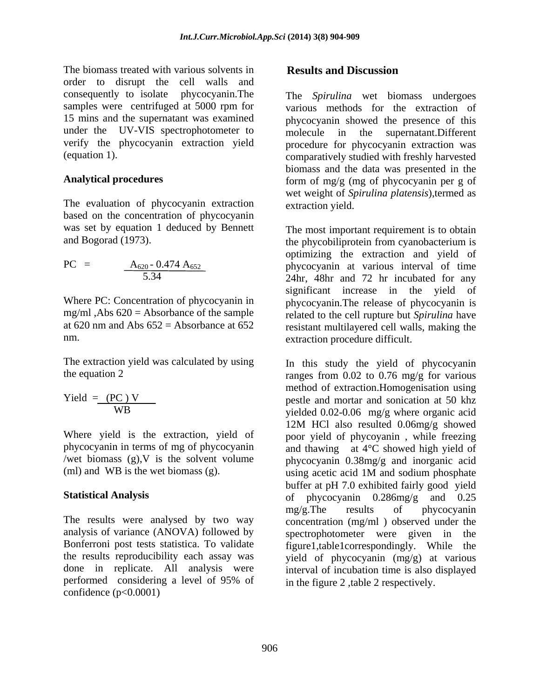The biomass treated with various solvents in **Results and Discussion** order to disrupt the cell walls and consequently to isolate phycocyanin.The under the UV-VIS spectrophotometer to molecule in the supernatant. Different

The evaluation of phycocyanin extraction based on the concentration of phycocyanin was set by equation 1 deduced by Bennett

$$
PC = \frac{A_{620} - 0.474 A_{652}}{5.34}
$$

The extraction yield was calculated by using

$$
Yield = \frac{(PC)V}{WB}
$$

analysis of variance (ANOVA) followed by spectrophotometer were given in the performed considering a level of 95% of confidence  $(p<0.0001)$ 

# **Results and Discussion**

samples were centrifuged at 5000 rpm for various methods for the extraction of 15 mins and the supernatant was examined phycocyanin showed the presence of this verify the phycocyanin extraction yield procedure for phycocyanin extraction was (equation 1). comparatively studied with freshly harvested Analytical procedures **form** of mg/g (mg of phycocyanin per g of The *Spirulina* wet biomass undergoes molecule in the supernatant.Different biomass and the data was presented in the wet weight of *Spirulina platensis*),termed as extraction yield.

and Bogorad (1973). the phycobiliprotein from cyanobacterium is  $PC = \underline{A_{620}} - 0.474 \underline{A_{652}}$  phycocyanin at various interval of time 5.34 24hr, 48hr and 72 hr incubated for any Where PC: Concentration of phycocyanin in phycocyanin. The release of phycocyanin is mg/ml ,Abs 620 = Absorbance of the sample related to the cell rupture but *Spirulina* have at 620 nm and Abs 652 = Absorbance at 652 resistant multilayered cell walls, making the nm. extraction procedure difficult. The most important requirement is to obtain optimizing the extraction and yield of significant increase in the yield of

the equation 2  $r$  ranges from 0.02 to 0.76 mg/g for various  $Yield = (PC) V$  pestle and mortar and sonication at 50 khz WB yielded 0.02-0.06 mg/g where organic acid Where yield is the extraction, yield of poor yield of phycoyanin, while freezing phycocyanin in terms of mg of phycocyanin and thawing at 4°C showed high yield of /wet biomass (g),V is the solvent volume phycocyanin 0.38mg/g and inorganic acid (ml) and WB is the wet biomass (g). <br>using acetic acid 1M and sodium phosphate **Statistical Analysis** of phycocyanin 0.286mg/g and 0.25 The results were analysed by two way concentration (mg/ml ) observed under the Bonferroni post tests statistica. To validate figure1,table1correspondingly. While the the results reproducibility each assay was yield of phycocyanin (mg/g) at various done in replicate. All analysis were interval of incubation time is also displayed In this study the yield of phycocyanin method of extraction.Homogenisation using 12M HCl also resulted 0.06mg/g showed using acetic acid 1M and sodium phosphate buffer at pH 7.0 exhibited fairly good yield mg/g.The results of phycocyanin spectrophotometer were given in in the figure 2 ,table 2 respectively.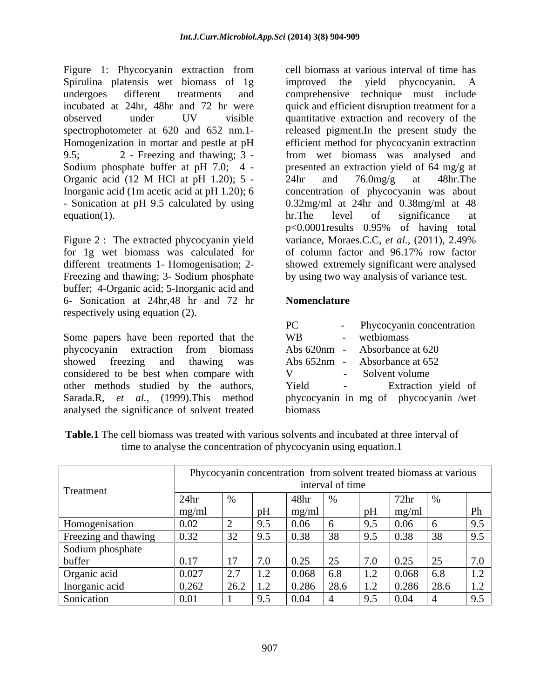Figure 1: Phycocyanin extraction from Spirulina platensis wet biomass of 1g improved the yield phycocyanin. A spectrophotometer at 620 and 652 nm.1- Organic acid (12 M HCl at pH 1.20);  $5 - 24$ hr and  $76.0$ mg/g at 48hr. The

Figure 2 : The extracted phycocyanin yield Freezing and thawing; 3- Sodium phosphate buffer; 4-Organic acid; 5-Inorganic acid and 6- Sonication at 24hr,48 hr and 72 hr respectively using equation (2).

Some papers have been reported that the phycocyanin extraction from biomass showed freezing and thawing was Abs 652nm - Absorbance at 652 considered to be best when compare with other methods studied by the authors, Yield - Extraction yield of Sarada.R, *et al.*, (1999).This method phycocyanin in mg of phycocyanin /wet analysed the significance of solvent treated

undergoes different treatments and comprehensive technique must include incubated at 24hr, 48hr and 72 hr were quick and efficient disruption treatment for a observed under UV visible quantitative extraction and recovery of the Homogenization in mortar and pestle at pH efficient method for phycocyanin extraction 9.5; 2 - Freezing and thawing; 3 - from wet biomass was analysed and Sodium phosphate buffer at pH 7.0; 4 - presented an extraction yield of 64 mg/g at Inorganic acid (1m acetic acid at pH 1.20); 6 concentration of phycocyanin was about<br>- Sonication at pH 9.5 calculated by using 0.32mg/ml at 24hr and 0.38mg/ml at 48 equation(1). The level of significance at  $\ln$ . The level of significance at for 1g wet biomass was calculated for of column factor and 96.17% row factor different treatments 1- Homogenisation; 2- showed extremely significant were analysed cell biomass at various interval of time has improved the yield phycocyanin. A released pigment.In the present study the 24hr and 76.0mg/g at 48hr.The concentration of phycocyanin was about 0.32mg/ml at 24hr and 0.38mg/ml at 48 hr.The level of significance at p<0.0001results 0.95% of having total variance, Moraes.C.C, *et al.,* (2011), 2.49% by using two way analysis of variance test.

# **Nomenclature**

| PC          | Phycocyanin concentration             |
|-------------|---------------------------------------|
| <b>WB</b>   | wetbiomass                            |
| Abs 620nm - | Absorbance at 620                     |
| Abs 652nm - | Absorbance at 652                     |
| V           | Solvent volume                        |
| Yield       | Extraction yield of                   |
|             | phycocyanin in mg of phycocyanin /wet |
| biomass     |                                       |

| <b>Table.1</b> The cell biomass was treated with various solvents and incubated at three interval of |  |
|------------------------------------------------------------------------------------------------------|--|
| time to analyse the concentration of phycocyanin using equation.                                     |  |

|                      |          |                  | Phycocyanin concentration from solvent treated biomass at various |                  |                                 |               |     |
|----------------------|----------|------------------|-------------------------------------------------------------------|------------------|---------------------------------|---------------|-----|
| Treatment            |          |                  |                                                                   | interval of time |                                 |               |     |
|                      |          |                  | 48hr                                                              |                  | /2nr                            |               |     |
|                      | $mg/m_1$ |                  |                                                                   |                  |                                 |               |     |
| Homogenisation       | 0.02     |                  |                                                                   |                  |                                 |               |     |
| Freezing and thawing | 0.32     |                  |                                                                   |                  | ገ 38                            |               |     |
| Sodium phosphate     |          |                  |                                                                   |                  |                                 |               |     |
| buffer               | V.II     |                  | $\Omega$                                                          | $\sqrt{2\pi}$    | $\Omega$<br>$\sqrt{7}$ $\alpha$ | $\sim$ $\sim$ |     |
| Organic acid         | 0.027    |                  |                                                                   |                  | 0.068                           |               |     |
| Inorganic acid       | 0.262    | $\angle 0.2$ 1.2 | 0.286                                                             | $\angle 8.0$     | 0.286<br>1.2                    | 28.6          | 1.2 |
| Sonication           | በ በ1     |                  |                                                                   |                  |                                 |               |     |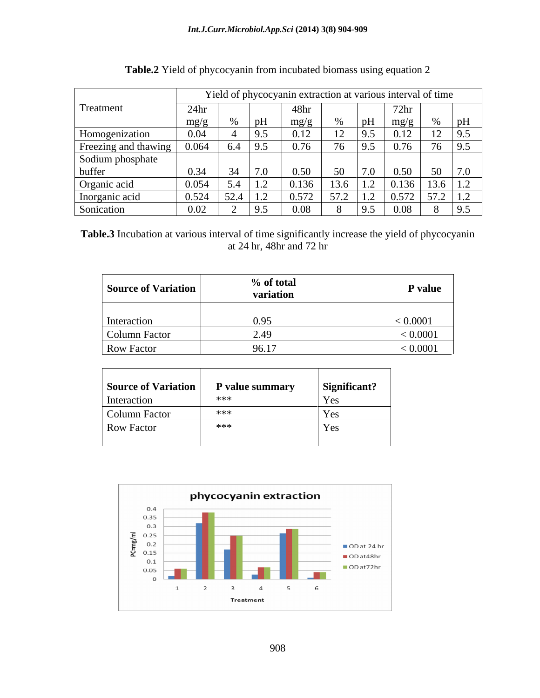|                      |                  | Yield of phycocyanin extraction at various interval of time |                                 |     |             |                 |
|----------------------|------------------|-------------------------------------------------------------|---------------------------------|-----|-------------|-----------------|
| Treatment            | $4\,$ hr         |                                                             |                                 |     |             |                 |
|                      | mg/g<br>$\sim$ 0 |                                                             | $\frac{mg}{s}$<br>$\sim$ $\sim$ |     | mg/g        |                 |
| Homogenization       | 0.04             | 19.5                                                        |                                 |     |             |                 |
| Freezing and thawing | 0.064            | 9.5                                                         |                                 |     |             |                 |
| Sodium phosphate     |                  |                                                             |                                 |     |             |                 |
| buffer               |                  |                                                             |                                 |     | <u>በ 5በ</u> |                 |
| Organic acid         | 0.054            | $\frac{5.4}{5.4}$                                           | 0.136                           |     | 10.136      | 12 <sup>2</sup> |
| Inorganic acid       | 0.524            | $\frac{1}{2}$ 52.4 1.                                       |                                 |     |             |                 |
| Sonication           |                  |                                                             | 0.08                            | 195 |             | - 194           |

**Table.3** Incubation at various interval of time significantly increase the yield of phycocyanin at 24 hr, 48hr and 72 hr

| Source of Variation | % of total<br>variation | P value  |
|---------------------|-------------------------|----------|
| Interaction         | 0.95                    | < 0.0001 |
| Column Factor       |                         | 0.0001   |
| Row Factor          | 96.17                   | 0.0001   |

| Source of Variation | P value summary | Significant? |
|---------------------|-----------------|--------------|
| Interaction         | ***             | Yes          |
| Column Factor       | ***             | <b>Yes</b>   |
| Row Factor          | ***             | Yes          |